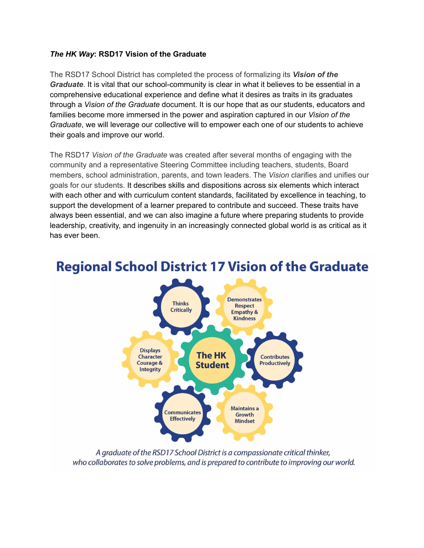### *The HK Way***: RSD17 Vision of the Graduate**

The RSD17 School District has completed the process of formalizing its *Vision of the Graduate*. It is vital that our school-community is clear in what it believes to be essential in a comprehensive educational experience and define what it desires as traits in its graduates through a *Vision of the Graduate* document. It is our hope that as our students, educators and families become more immersed in the power and aspiration captured in our *Vision of the Graduate*, we will leverage our collective will to empower each one of our students to achieve their goals and improve our world.

The RSD17 *Vision of the Graduate* was created after several months of engaging with the community and a representative Steering Committee including teachers, students, Board members, school administration, parents, and town leaders. The *Vision* clarifies and unifies our goals for our students. It describes skills and dispositions across six elements which interact with each other and with curriculum content standards, facilitated by excellence in teaching, to support the development of a learner prepared to contribute and succeed. These traits have always been essential, and we can also imagine a future where preparing students to provide leadership, creativity, and ingenuity in an increasingly connected global world is as critical as it has ever been.



## **Regional School District 17 Vision of the Graduate**

A graduate of the RSD17 School District is a compassionate critical thinker, who collaborates to solve problems, and is prepared to contribute to improving our world.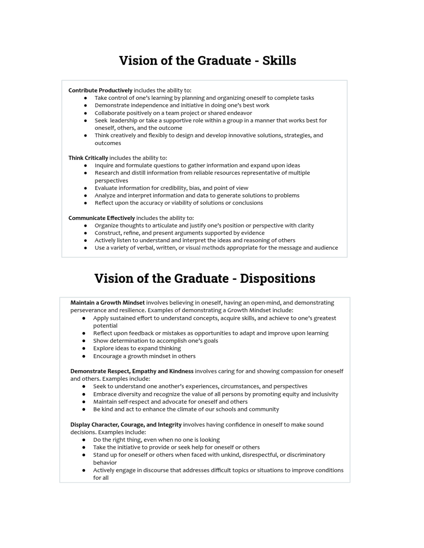## **Vision of the Graduate - Skills**

#### Contribute Productively includes the ability to:

- Take control of one's learning by planning and organizing oneself to complete tasks
- Demonstrate independence and initiative in doing one's best work
- Collaborate positively on a team project or shared endeavor
- Seek leadership or take a supportive role within a group in a manner that works best for oneself, others, and the outcome
- Think creatively and flexibly to design and develop innovative solutions, strategies, and outcomes

#### Think Critically includes the ability to:

- Inquire and formulate questions to gather information and expand upon ideas
- Research and distill information from reliable resources representative of multiple perspectives
- Evaluate information for credibility, bias, and point of view
- Analyze and interpret information and data to generate solutions to problems
- Reflect upon the accuracy or viability of solutions or conclusions

#### Communicate Effectively includes the ability to:

- Organize thoughts to articulate and justify one's position or perspective with clarity
- Construct, refine, and present arguments supported by evidence
- Actively listen to understand and interpret the ideas and reasoning of others
- Use a variety of verbal, written, or visual methods appropriate for the message and audience

# **Vision of the Graduate - Dispositions**

Maintain a Growth Mindset involves believing in oneself, having an open-mind, and demonstrating perseverance and resilience. Examples of demonstrating a Growth Mindset include:

- Apply sustained effort to understand concepts, acquire skills, and achieve to one's greatest potential
- Reflect upon feedback or mistakes as opportunities to adapt and improve upon learning
- Show determination to accomplish one's goals
- Explore ideas to expand thinking  $\bullet$
- Encourage a growth mindset in others

Demonstrate Respect, Empathy and Kindness involves caring for and showing compassion for oneself and others. Examples include:

- Seek to understand one another's experiences, circumstances, and perspectives
- Embrace diversity and recognize the value of all persons by promoting equity and inclusivity
- Maintain self-respect and advocate for oneself and others
- Be kind and act to enhance the climate of our schools and community

Display Character, Courage, and Integrity involves having confidence in oneself to make sound decisions. Examples include:

- Do the right thing, even when no one is looking
- Take the initiative to provide or seek help for oneself or others
- Stand up for oneself or others when faced with unkind, disrespectful, or discriminatory hehavior
- Actively engage in discourse that addresses difficult topics or situations to improve conditions for all